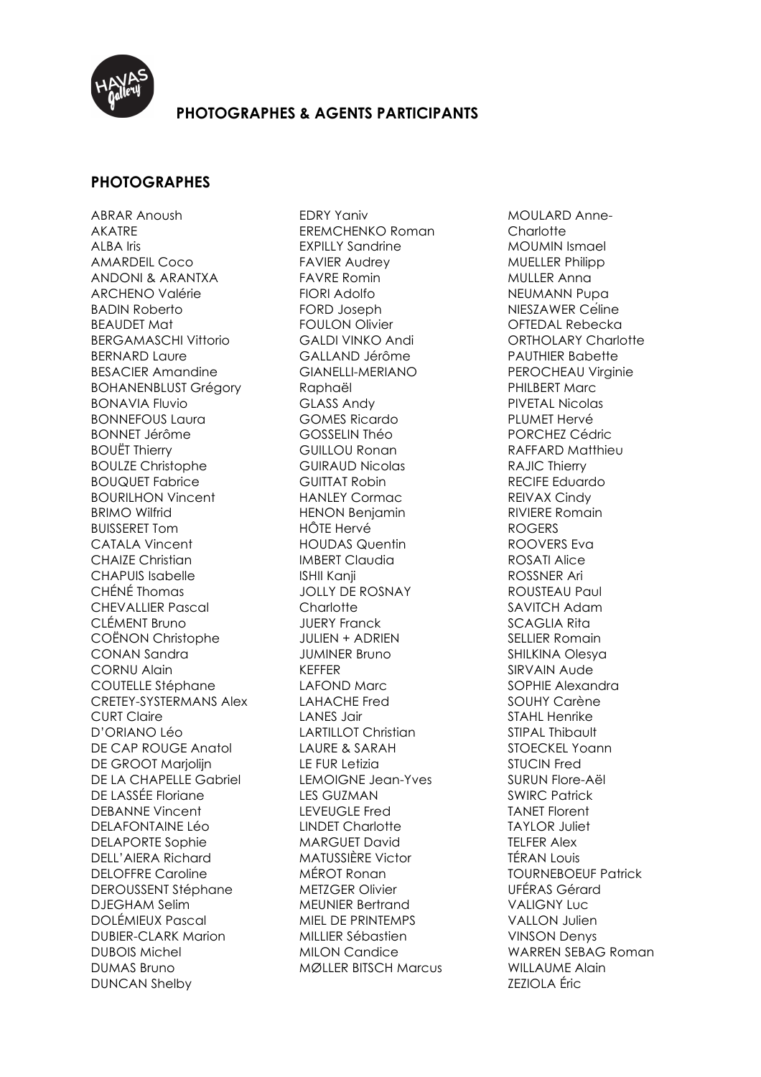

## **PHOTOGRAPHES & AGENTS PARTICIPANTS**

## **PHOTOGRAPHES**

ABRAR Anoush AKATRE ALBA Iris AMARDEIL Coco ANDONI & ARANTXA ARCHENO Valérie BADIN Roberto BEAUDET Mat BERGAMASCHI Vittorio BERNARD Laure BESACIER Amandine BOHANENBLUST Grégory BONAVIA Fluvio BONNEFOUS Laura BONNET Jérôme BOUËT Thierry BOULZE Christophe BOUQUET Fabrice BOURILHON Vincent BRIMO Wilfrid BUISSERET Tom CATALA Vincent CHAIZE Christian CHAPUIS Isabelle CHÉNÉ Thomas CHEVALLIER Pascal CLÉMENT Bruno COËNON Christophe CONAN Sandra CORNU Alain COUTELLE Stéphane CRETEY-SYSTERMANS Alex CURT Claire D'ORIANO Léo DE CAP ROUGE Anatol DE GROOT Marioliin DE LA CHAPELLE Gabriel DE LASSÉE Floriane DEBANNE Vincent DELAFONTAINE Léo DELAPORTE Sophie DELL'AIERA Richard DELOFFRE Caroline DEROUSSENT Stéphane DJEGHAM Selim DOLÉMIEUX Pascal DUBIER-CLARK Marion DUBOIS Michel DUMAS Bruno DUNCAN Shelby

EDRY Yaniv EREMCHENKO Roman EXPILLY Sandrine FAVIER Audrey FAVRE Romin FIORI Adolfo FORD Joseph FOULON Olivier GALDI VINKO Andi GALLAND Jérôme GIANELLI-MERIANO Raphaël GLASS Andy GOMES Ricardo GOSSELIN Théo GUILLOU Ronan GUIRAUD Nicolas GUITTAT Robin HANLEY Cormac HENON Benjamin HÔTE Hervé HOUDAS Quentin IMBERT Claudia ISHII Kanji JOLLY DE ROSNAY **Charlotte** JUERY Franck JULIEN + ADRIEN JUMINER Bruno KEFFER LAFOND Marc LAHACHE Fred LANES Jair LARTILLOT Christian LAURE & SARAH LE FUR Letizia LEMOIGNE Jean-Yves LES GUZMAN LEVEUGLE Fred LINDET Charlotte MARGUET David MATUSSIÈRE Victor MÉROT Ronan METZGER Olivier MEUNIER Bertrand MIEL DE PRINTEMPS MILLIER Sébastien MILON Candice MØLLER BITSCH Marcus MOULARD Anne-**Charlotte** MOUMIN Ismael MUELLER Philipp MULLER Anna NEUMANN Pupa NIESZAWER Céline OFTEDAL Rebecka ORTHOLARY Charlotte PAUTHIER Babette PEROCHEAU Virginie PHILBERT Marc PIVETAL Nicolas PLUMET Hervé PORCHEZ Cédric RAFFARD Matthieu RAJIC Thierry RECIFE Eduardo REIVAX Cindy RIVIERE Romain ROGERS ROOVERS Eva ROSATI Alice ROSSNER Ari ROUSTEAU Paul SAVITCH Adam SCAGLIA Rita SELLIER Romain SHILKINA Olesya SIRVAIN Aude SOPHIE Alexandra SOUHY Carène STAHL Henrike STIPAL Thibault STOECKEL Yoann STUCIN Fred SURUN Flore-Aël SWIRC Patrick TANET Florent TAYLOR Juliet TELFER Alex TÉRAN Louis TOURNEBOEUF Patrick UFÉRAS Gérard VALIGNY Luc VALLON Julien VINSON Denys WARREN SEBAG Roman WILLAUME Alain ZEZIOLA Éric